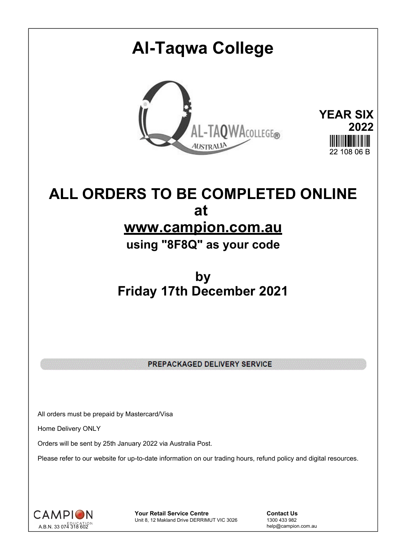# **Al-Taqwa College YEAR SIX 2022** AL-TAQWACOLLEGE® **AUSTRALIA**

## **ALL ORDERS TO BE COMPLETED ONLINE at www.campion.com.au**

**using "8F8Q" as your code**

### **by Friday 17th December 2021**

PREPACKAGED DELIVERY SERVICE

All orders must be prepaid by Mastercard/Visa

Home Delivery ONLY

Orders will be sent by 25th January 2022 via Australia Post.

Please refer to our website for up-to-date information on our trading hours, refund policy and digital resources.



**Your Retail Service Centre Contact Us**<br>
Unit 8, 12 Makland Drive DERRIMUT VIC 3026
1300 433 982 Unit 8, 12 Makland Drive DERRIMUT VIC 3026

help@campion.com.au

 $22,408,06, \mathbb{R}$